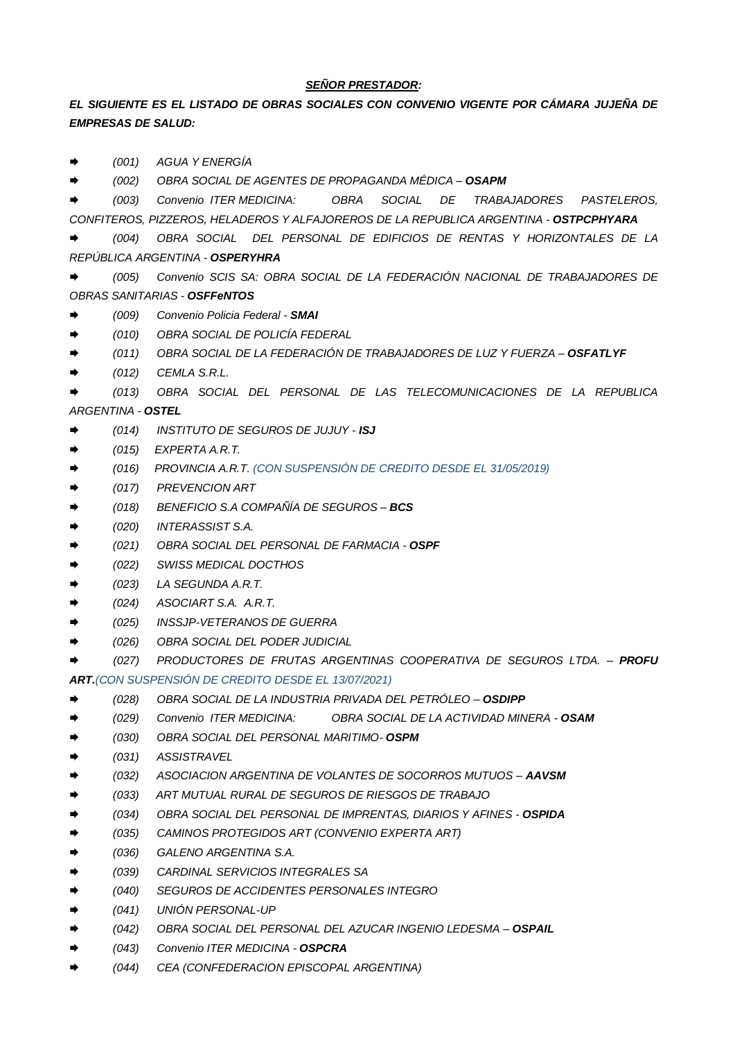#### *SEÑOR PRESTADOR:*

### *EL SIGUIENTE ES EL LISTADO DE OBRAS SOCIALES CON CONVENIO VIGENTE POR CÁMARA JUJEÑA DE EMPRESAS DE SALUD:*

*(001) AGUA Y ENERGÍA*

*(002) OBRA SOCIAL DE AGENTES DE PROPAGANDA MÉDICA – OSAPM*

 *(003) Convenio ITER MEDICINA: OBRA SOCIAL DE TRABAJADORES PASTELEROS, CONFITEROS, PIZZEROS, HELADEROS Y ALFAJOREROS DE LA REPUBLICA ARGENTINA - OSTPCPHYARA*

- *(004) OBRA SOCIAL DEL PERSONAL DE EDIFICIOS DE RENTAS Y HORIZONTALES DE LA REPÚBLICA ARGENTINA - OSPERYHRA*
- *(005) Convenio SCIS SA: OBRA SOCIAL DE LA FEDERACIÓN NACIONAL DE TRABAJADORES DE OBRAS SANITARIAS - OSFFeNTOS*
- *(009) Convenio Policia Federal - SMAI*
- *(010) OBRA SOCIAL DE POLICÍA FEDERAL*
- *(011) OBRA SOCIAL DE LA FEDERACIÓN DE TRABAJADORES DE LUZ Y FUERZA – OSFATLYF*
- *(012) CEMLA S.R.L.*

 *(013) OBRA SOCIAL DEL PERSONAL DE LAS TELECOMUNICACIONES DE LA REPUBLICA ARGENTINA - OSTEL*

- *(014) INSTITUTO DE SEGUROS DE JUJUY - ISJ*
- *(015) EXPERTA A.R.T.*
- *(016) PROVINCIA A.R.T. (CON SUSPENSIÓN DE CREDITO DESDE EL 31/05/2019)*
- *(017) PREVENCION ART*
- *(018) BENEFICIO S.A COMPAÑÍA DE SEGUROS – BCS*
- *(020) INTERASSIST S.A.*
- *(021) OBRA SOCIAL DEL PERSONAL DE FARMACIA - OSPF*
- *(022) SWISS MEDICAL DOCTHOS*
- *(023) LA SEGUNDA A.R.T.*
- *(024) ASOCIART S.A. A.R.T.*
- *(025) INSSJP-VETERANOS DE GUERRA*
- *(026) OBRA SOCIAL DEL PODER JUDICIAL*
- *(027) PRODUCTORES DE FRUTAS ARGENTINAS COOPERATIVA DE SEGUROS LTDA. – PROFU ART.(CON SUSPENSIÓN DE CREDITO DESDE EL 13/07/2021)*
- *(028) OBRA SOCIAL DE LA INDUSTRIA PRIVADA DEL PETRÓLEO – OSDIPP*
- *(029) Convenio ITER MEDICINA: OBRA SOCIAL DE LA ACTIVIDAD MINERA - OSAM*
- *(030) OBRA SOCIAL DEL PERSONAL MARITIMO- OSPM*
- *(031) ASSISTRAVEL*
- *(032) ASOCIACION ARGENTINA DE VOLANTES DE SOCORROS MUTUOS – AAVSM*
- *(033) ART MUTUAL RURAL DE SEGUROS DE RIESGOS DE TRABAJO*
- *(034) OBRA SOCIAL DEL PERSONAL DE IMPRENTAS, DIARIOS Y AFINES - OSPIDA*
- *(035) CAMINOS PROTEGIDOS ART (CONVENIO EXPERTA ART)*
- *(036) GALENO ARGENTINA S.A.*
- *(039) CARDINAL SERVICIOS INTEGRALES SA*
- *(040) SEGUROS DE ACCIDENTES PERSONALES INTEGRO*
- *(041) UNIÓN PERSONAL-UP*
- *(042) OBRA SOCIAL DEL PERSONAL DEL AZUCAR INGENIO LEDESMA – OSPAIL*
- *(043) Convenio ITER MEDICINA - OSPCRA*
- *(044) CEA (CONFEDERACION EPISCOPAL ARGENTINA)*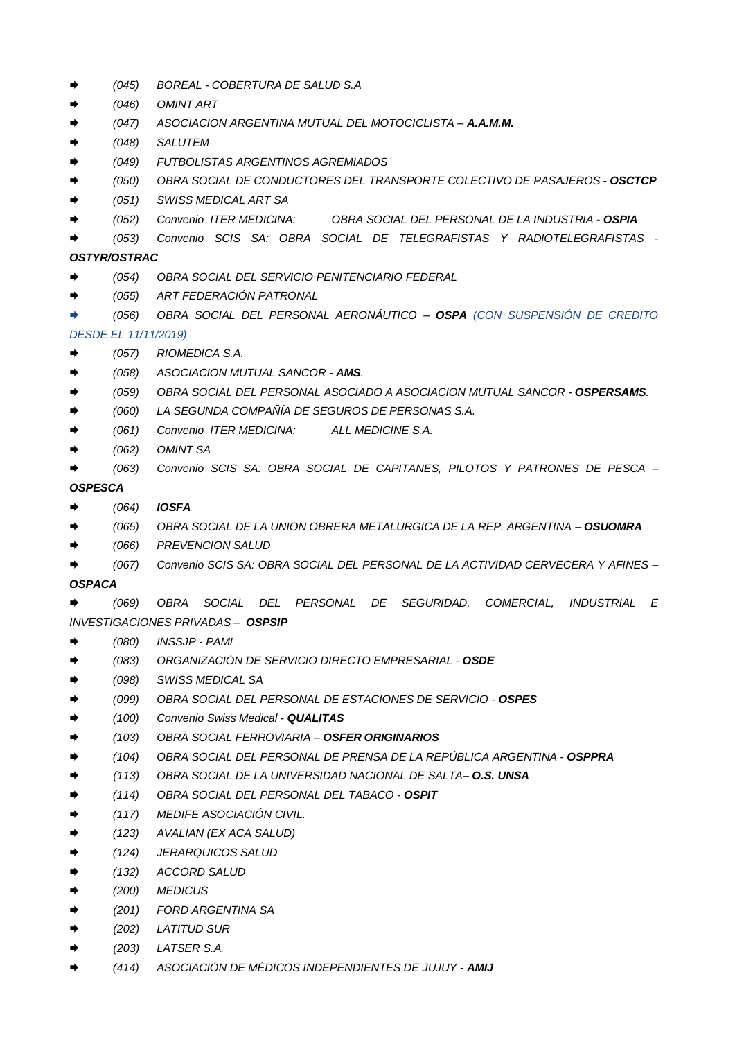- *(045) BOREAL - COBERTURA DE SALUD S.A*
- *(046) OMINT ART*
- *(047) ASOCIACION ARGENTINA MUTUAL DEL MOTOCICLISTA – A.A.M.M.*
- *(048) SALUTEM*
- *(049) FUTBOLISTAS ARGENTINOS AGREMIADOS*
- *(050) OBRA SOCIAL DE CONDUCTORES DEL TRANSPORTE COLECTIVO DE PASAJEROS - OSCTCP*
- *(051) SWISS MEDICAL ART SA*
- *(052) Convenio ITER MEDICINA: OBRA SOCIAL DEL PERSONAL DE LA INDUSTRIA - OSPIA*
- *(053) Convenio SCIS SA: OBRA SOCIAL DE TELEGRAFISTAS Y RADIOTELEGRAFISTAS -*

# *OSTYR/OSTRAC*

- *(054) OBRA SOCIAL DEL SERVICIO PENITENCIARIO FEDERAL*
- *(055) ART FEDERACIÓN PATRONAL*
- *(056) OBRA SOCIAL DEL PERSONAL AERONÁUTICO – OSPA (CON SUSPENSIÓN DE CREDITO*

# *DESDE EL 11/11/2019)*

- *(057) RIOMEDICA S.A.*
- *(058) ASOCIACION MUTUAL SANCOR - AMS.*
- *(059) OBRA SOCIAL DEL PERSONAL ASOCIADO A ASOCIACION MUTUAL SANCOR - OSPERSAMS.*
- *(060) LA SEGUNDA COMPAÑÍA DE SEGUROS DE PERSONAS S.A.*
- *(061) Convenio ITER MEDICINA: ALL MEDICINE S.A.*
- *(062) OMINT SA*
- *(063) Convenio SCIS SA: OBRA SOCIAL DE CAPITANES, PILOTOS Y PATRONES DE PESCA –*

#### *OSPESCA*

- *(064) IOSFA*
- *(065) OBRA SOCIAL DE LA UNION OBRERA METALURGICA DE LA REP. ARGENTINA – OSUOMRA*
- *(066) PREVENCION SALUD*
- *(067) Convenio SCIS SA: OBRA SOCIAL DEL PERSONAL DE LA ACTIVIDAD CERVECERA Y AFINES –*

### *OSPACA*

 *(069) OBRA SOCIAL DEL PERSONAL DE SEGURIDAD, COMERCIAL, INDUSTRIAL E INVESTIGACIONES PRIVADAS – OSPSIP*

- *(080) INSSJP - PAMI*
- *(083) ORGANIZACIÓN DE SERVICIO DIRECTO EMPRESARIAL - OSDE*
- *(098) SWISS MEDICAL SA*
- *(099) OBRA SOCIAL DEL PERSONAL DE ESTACIONES DE SERVICIO - OSPES*
- *(100) Convenio Swiss Medical - QUALITAS*
- *(103) OBRA SOCIAL FERROVIARIA – OSFER ORIGINARIOS*
- *(104) OBRA SOCIAL DEL PERSONAL DE PRENSA DE LA REPÚBLICA ARGENTINA - OSPPRA*
- *(113) OBRA SOCIAL DE LA UNIVERSIDAD NACIONAL DE SALTA– O.S. UNSA*
- *(114) OBRA SOCIAL DEL PERSONAL DEL TABACO - OSPIT*
- *(117) MEDIFE ASOCIACIÓN CIVIL.*
- *(123) AVALIAN (EX ACA SALUD)*
- *(124) JERARQUICOS SALUD*
- *(132) ACCORD SALUD*
- *(200) MEDICUS*
- *(201) FORD ARGENTINA SA*
- *(202) LATITUD SUR*
- *(203) LATSER S.A.*
- *(414) ASOCIACIÓN DE MÉDICOS INDEPENDIENTES DE JUJUY - AMIJ*